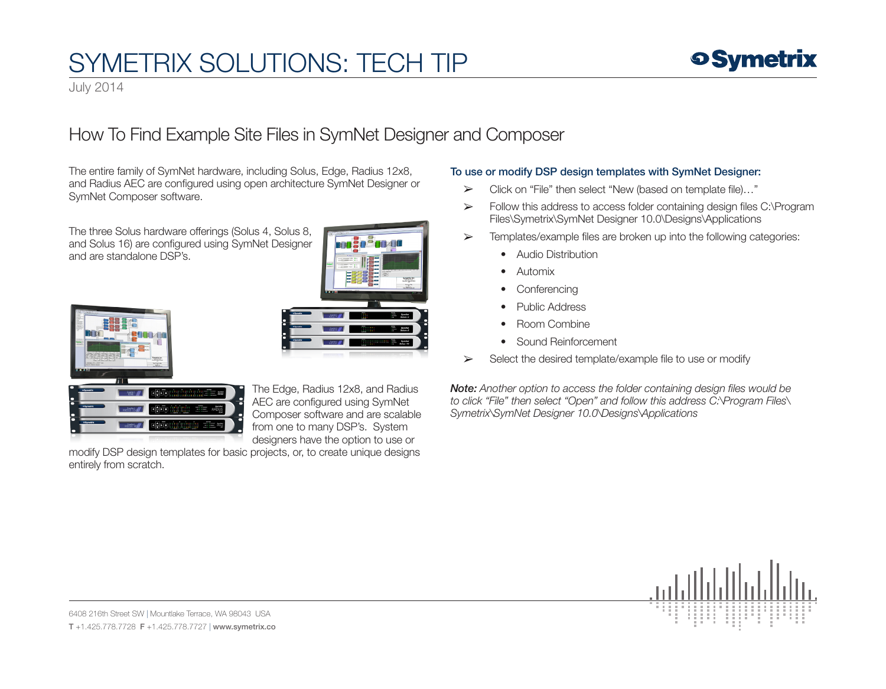# SYMETRIX SOLUTIONS: TECH TIP



July 2014

### How To Find Example Site Files in SymNet Designer and Composer

The entire family of SymNet hardware, including Solus, Edge, Radius 12x8, and Radius AEC are configured using open architecture SymNet Designer or SymNet Composer software.

The three Solus hardware offerings (Solus 4, Solus 8, and Solus 16) are configured using SymNet Designer and are standalone DSP's.







The Edge, Radius 12x8, and Radius AEC are configured using SymNet Composer software and are scalable from one to many DSP's. System designers have the option to use or

modify DSP design templates for basic projects, or, to create unique designs entirely from scratch.

#### To use or modify DSP design templates with SymNet Designer:

- ➢ Click on "File" then select "New (based on template file)…"
- ➢ Follow this address to access folder containing design files C:\Program Files\Symetrix\SymNet Designer 10.0\Designs\Applications
- $\triangleright$  Templates/example files are broken up into the following categories:
	- Audio Distribution
	- Automix
	- Conferencing
	- Public Address
	- Room Combine
	- Sound Reinforcement
- ➢ Select the desired template/example file to use or modify

*Note: Another option to access the folder containing design files would be to click "File" then select "Open" and follow this address C:\Program Files\ Symetrix\SymNet Designer 10.0\Designs\Applications*